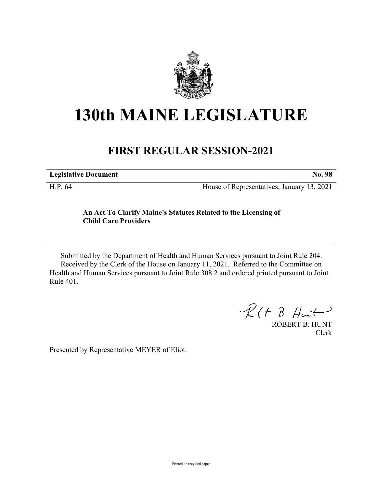

## **130th MAINE LEGISLATURE**

## **FIRST REGULAR SESSION-2021**

**Legislative Document No. 98**

H.P. 64 House of Representatives, January 13, 2021

## **An Act To Clarify Maine's Statutes Related to the Licensing of Child Care Providers**

Submitted by the Department of Health and Human Services pursuant to Joint Rule 204. Received by the Clerk of the House on January 11, 2021. Referred to the Committee on Health and Human Services pursuant to Joint Rule 308.2 and ordered printed pursuant to Joint Rule 401.

 $R(H B. H<sup>u</sup>)$ 

ROBERT B. HUNT Clerk

Presented by Representative MEYER of Eliot.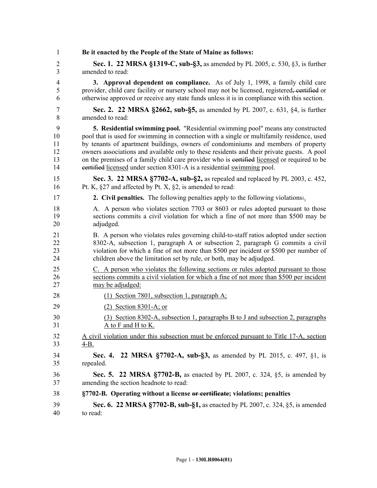| $\mathbf{1}$   | Be it enacted by the People of the State of Maine as follows:                                 |
|----------------|-----------------------------------------------------------------------------------------------|
| $\overline{2}$ | <b>Sec. 1. 22 MRSA §1319-C, sub-§3, as amended by PL 2005, c. 530, §3, is further</b>         |
| 3              | amended to read:                                                                              |
| $\overline{4}$ | <b>3. Approval dependent on compliance.</b> As of July 1, 1998, a family child care           |
| 5              | provider, child care facility or nursery school may not be licensed, registered, certified or |
| 6              | otherwise approved or receive any state funds unless it is in compliance with this section.   |
| 7              | Sec. 2. 22 MRSA §2662, sub-§5, as amended by PL 2007, c. 631, §4, is further                  |
| 8              | amended to read:                                                                              |
| 9              | 5. Residential swimming pool. "Residential swimming pool" means any constructed               |
| 10             | pool that is used for swimming in connection with a single or multifamily residence, used     |
| 11             | by tenants of apartment buildings, owners of condominiums and members of property             |
| 12             | owners associations and available only to these residents and their private guests. A pool    |
| 13             | on the premises of a family child care provider who is eertified licensed or required to be   |
| 14             | eertified licensed under section 8301-A is a residential swimming pool.                       |
| 15             | Sec. 3. 22 MRSA §7702-A, sub-§2, as repealed and replaced by PL 2003, c. 452,                 |
| 16             | Pt. K, $\S27$ and affected by Pt. X, $\S2$ , is amended to read:                              |
| 17             | <b>2. Civil penalties.</b> The following penalties apply to the following violations.         |
| 18             | A. A person who violates section 7703 or 8603 or rules adopted pursuant to those              |
| 19             | sections commits a civil violation for which a fine of not more than \$500 may be             |
| 20             | adjudged.                                                                                     |
| 21             | B. A person who violates rules governing child-to-staff ratios adopted under section          |
| 22             | 8302-A, subsection 1, paragraph A or subsection 2, paragraph G commits a civil                |
| 23             | violation for which a fine of not more than \$500 per incident or \$500 per number of         |
| 24             | children above the limitation set by rule, or both, may be adjudged.                          |
| 25             | C. A person who violates the following sections or rules adopted pursuant to those            |
| 26             | sections commits a civil violation for which a fine of not more than \$500 per incident       |
| 27             | may be adjudged:                                                                              |
| 28             | (1) Section 7801, subsection 1, paragraph A;                                                  |
| 29             | $(2)$ Section 8301-A; or                                                                      |
| 30             | (3) Section 8302-A, subsection 1, paragraphs B to J and subsection 2, paragraphs              |
| 31             | A to F and H to K.                                                                            |
| 32             | A civil violation under this subsection must be enforced pursuant to Title 17-A, section      |
| 33             | $4-B.$                                                                                        |
| 34             | Sec. 4. 22 MRSA §7702-A, sub-§3, as amended by PL 2015, c. 497, §1, is                        |
| 35             | repealed.                                                                                     |
| 36             | <b>Sec. 5. 22 MRSA §7702-B,</b> as enacted by PL 2007, c. 324, §5, is amended by              |
| 37             | amending the section headnote to read:                                                        |
| 38             | §7702-B. Operating without a license or certificate; violations; penalties                    |
| 39             | Sec. 6. 22 MRSA §7702-B, sub-§1, as enacted by PL 2007, c. 324, §5, is amended                |
| 40             | to read:                                                                                      |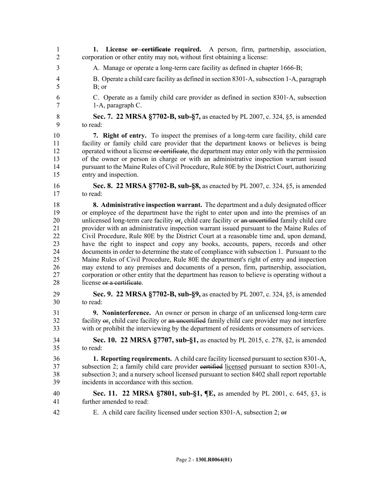- 1 **1. License or certificate required.** A person, firm, partnership, association, 2 corporation or other entity may not, without first obtaining a license:
- 3 A. Manage or operate a long-term care facility as defined in chapter 1666‑B;
- 4 B. Operate a child care facility as defined in section 8301‑A, subsection 1‑A, paragraph 5 B; or
- 6 C. Operate as a family child care provider as defined in section 8301‑A, subsection 7 1–A, paragraph C.
- 8 **Sec. 7. 22 MRSA §7702-B, sub-§7,** as enacted by PL 2007, c. 324, §5, is amended 9 to read:

10 **7. Right of entry.** To inspect the premises of a long-term care facility, child care 11 facility or family child care provider that the department knows or believes is being 12 operated without a license or certificate, the department may enter only with the permission 13 of the owner or person in charge or with an administrative inspection warrant issued 14 pursuant to the Maine Rules of Civil Procedure, Rule 80E by the District Court, authorizing 15 entry and inspection.

16 **Sec. 8. 22 MRSA §7702-B, sub-§8,** as enacted by PL 2007, c. 324, §5, is amended 17 to read:

18 **8. Administrative inspection warrant.** The department and a duly designated officer 19 or employee of the department have the right to enter upon and into the premises of an 20 unlicensed long-term care facility or, child care facility or an uncertified family child care 21 provider with an administrative inspection warrant issued pursuant to the Maine Rules of 22 Civil Procedure, Rule 80E by the District Court at a reasonable time and, upon demand, 23 have the right to inspect and copy any books, accounts, papers, records and other 24 documents in order to determine the state of compliance with subsection 1. Pursuant to the 25 Maine Rules of Civil Procedure, Rule 80E the department's right of entry and inspection 26 may extend to any premises and documents of a person, firm, partnership, association, 27 corporation or other entity that the department has reason to believe is operating without a 28 license or a certificate.

- 29 **Sec. 9. 22 MRSA §7702-B, sub-§9,** as enacted by PL 2007, c. 324, §5, is amended 30 to read:
- 31 **9. Noninterference.** An owner or person in charge of an unlicensed long-term care 32 facility or, child care facility or an uncertified family child care provider may not interfere 33 with or prohibit the interviewing by the department of residents or consumers of services.
- 34 **Sec. 10. 22 MRSA §7707, sub-§1,** as enacted by PL 2015, c. 278, §2, is amended 35 to read:
- 36 **1. Reporting requirements.** A child care facility licensed pursuant to section 8301-A, 37 subsection 2; a family child care provider certified licensed pursuant to section 8301-A, 38 subsection 3; and a nursery school licensed pursuant to section 8402 shall report reportable 39 incidents in accordance with this section.
- 40 **Sec. 11. 22 MRSA §7801, sub-§1, ¶E,** as amended by PL 2001, c. 645, §3, is 41 further amended to read:
- 42 E. A child care facility licensed under section 8301‑A, subsection 2; or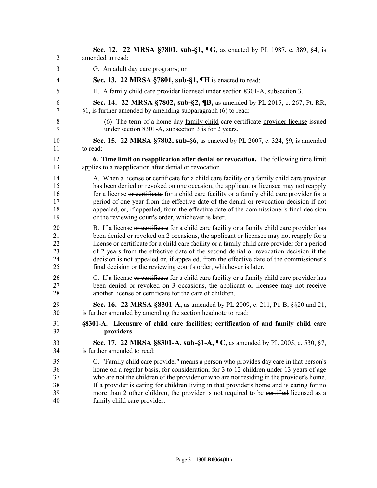| $\mathbf{1}$   | <b>Sec. 12. 22 MRSA §7801, sub-§1, ¶G, as enacted by PL 1987, c. 389, §4, is</b>              |
|----------------|-----------------------------------------------------------------------------------------------|
| $\overline{2}$ | amended to read:                                                                              |
| 3              | G. An adult day care program-; or                                                             |
| 4              | Sec. 13. 22 MRSA §7801, sub-§1, ¶H is enacted to read:                                        |
| 5              | H. A family child care provider licensed under section 8301-A, subsection 3.                  |
| 6              | <b>Sec. 14. 22 MRSA §7802, sub-§2, ¶B, as amended by PL 2015, c. 267, Pt. RR,</b>             |
| 7              | $§1$ , is further amended by amending subparagraph (6) to read:                               |
| 8              | (6) The term of a home day family child care certificate provider license issued              |
| 9              | under section 8301-A, subsection 3 is for 2 years.                                            |
| 10             | Sec. 15. 22 MRSA §7802, sub-§6, as enacted by PL 2007, c. 324, §9, is amended                 |
| 11             | to read:                                                                                      |
| 12             | 6. Time limit on reapplication after denial or revocation. The following time limit           |
| 13             | applies to a reapplication after denial or revocation.                                        |
| 14             | A. When a license or certificate for a child care facility or a family child care provider    |
| 15             | has been denied or revoked on one occasion, the applicant or licensee may not reapply         |
| 16             | for a license or certificate for a child care facility or a family child care provider for a  |
| 17             | period of one year from the effective date of the denial or revocation decision if not        |
| 18             | appealed, or, if appealed, from the effective date of the commissioner's final decision       |
| 19             | or the reviewing court's order, whichever is later.                                           |
| 20             | B. If a license or certificate for a child care facility or a family child care provider has  |
| 21             | been denied or revoked on 2 occasions, the applicant or licensee may not reapply for a        |
| 22             | license or certificate for a child care facility or a family child care provider for a period |
| 23             | of 2 years from the effective date of the second denial or revocation decision if the         |
| 24             | decision is not appealed or, if appealed, from the effective date of the commissioner's       |
| 25             | final decision or the reviewing court's order, whichever is later.                            |
| 26             | C. If a license or certificate for a child care facility or a family child care provider has  |
| 27             | been denied or revoked on 3 occasions, the applicant or licensee may not receive              |
| 28             | another license or certificate for the care of children.                                      |
| 29             | <b>Sec. 16. 22 MRSA §8301-A, as amended by PL 2009, c. 211, Pt. B, §§20 and 21,</b>           |
| 30             | is further amended by amending the section headnote to read:                                  |
| 31             | §8301-A. Licensure of child care facilities; certification of and family child care           |
| 32             | providers                                                                                     |
| 33             | Sec. 17. 22 MRSA §8301-A, sub-§1-A, ¶C, as amended by PL 2005, c. 530, §7,                    |
| 34             | is further amended to read:                                                                   |
| 35             | C. "Family child care provider" means a person who provides day care in that person's         |
| 36             | home on a regular basis, for consideration, for 3 to 12 children under 13 years of age        |
| 37             | who are not the children of the provider or who are not residing in the provider's home.      |
| 38             | If a provider is caring for children living in that provider's home and is caring for no      |
| 39             | more than 2 other children, the provider is not required to be eertified licensed as a        |
| 40             | family child care provider.                                                                   |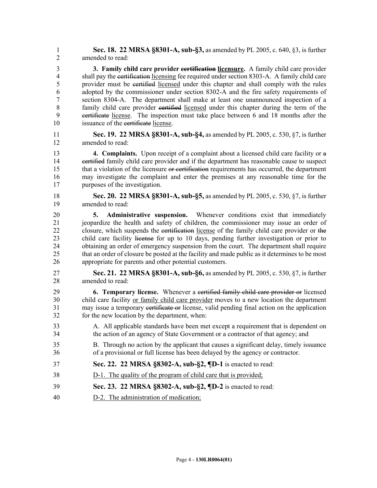1 **Sec. 18. 22 MRSA §8301-A, sub-§3,** as amended by PL 2005, c. 640, §3, is further 2 amended to read:

3 **3. Family child care provider certification licensure.** A family child care provider 4 shall pay the certification licensing fee required under section 8303-A. A family child care 5 provider must be certified licensed under this chapter and shall comply with the rules 6 adopted by the commissioner under section 8302-A and the fire safety requirements of 7 section 8304-A. The department shall make at least one unannounced inspection of a 8 family child care provider eertified licensed under this chapter during the term of the 9 certificate license. The inspection must take place between 6 and 18 months after the 10 issuance of the eertificate license.

11 **Sec. 19. 22 MRSA §8301-A, sub-§4,** as amended by PL 2005, c. 530, §7, is further 12 amended to read:

13 **4. Complaints.** Upon receipt of a complaint about a licensed child care facility or a 14 certified family child care provider and if the department has reasonable cause to suspect 15 that a violation of the licensure or certification requirements has occurred, the department 16 may investigate the complaint and enter the premises at any reasonable time for the 17 purposes of the investigation.

18 **Sec. 20. 22 MRSA §8301-A, sub-§5,** as amended by PL 2005, c. 530, §7, is further 19 amended to read:

20 **5. Administrative suspension.** Whenever conditions exist that immediately 21 jeopardize the health and safety of children, the commissioner may issue an order of 22 closure, which suspends the certification license of the family child care provider or the 23 child care facility license for up to 10 days, pending further investigation or prior to 24 obtaining an order of emergency suspension from the court. The department shall require 25 that an order of closure be posted at the facility and made public as it determines to be most 26 appropriate for parents and other potential customers.

27 **Sec. 21. 22 MRSA §8301-A, sub-§6,** as amended by PL 2005, c. 530, §7, is further 28 amended to read:

29 **6. Temporary license.** Whenever a certified family child care provider or licensed 30 child care facility or family child care provider moves to a new location the department 31 may issue a temporary certificate or license, valid pending final action on the application 32 for the new location by the department, when:

- 33 A. All applicable standards have been met except a requirement that is dependent on 34 the action of an agency of State Government or a contractor of that agency; and
- 35 B. Through no action by the applicant that causes a significant delay, timely issuance 36 of a provisional or full license has been delayed by the agency or contractor.
- 37 **Sec. 22. 22 MRSA §8302-A, sub-§2, ¶D-1** is enacted to read:
- 38 D-1. The quality of the program of child care that is provided;
- 39 **Sec. 23. 22 MRSA §8302-A, sub-§2, ¶D-2** is enacted to read:
- 40 D-2. The administration of medication;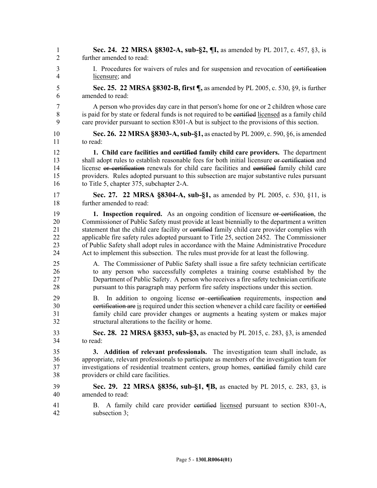| 1                    | Sec. 24. 22 MRSA §8302-A, sub-§2, ¶I, as amended by PL 2017, c. 457, §3, is                                                                                                                                                                                                                                             |
|----------------------|-------------------------------------------------------------------------------------------------------------------------------------------------------------------------------------------------------------------------------------------------------------------------------------------------------------------------|
| $\overline{2}$       | further amended to read:                                                                                                                                                                                                                                                                                                |
| 3                    | I. Procedures for waivers of rules and for suspension and revocation of eertification                                                                                                                                                                                                                                   |
| 4                    | licensure; and                                                                                                                                                                                                                                                                                                          |
| 5                    | Sec. 25. 22 MRSA §8302-B, first ¶, as amended by PL 2005, c. 530, §9, is further                                                                                                                                                                                                                                        |
| 6                    | amended to read:                                                                                                                                                                                                                                                                                                        |
| 7                    | A person who provides day care in that person's home for one or 2 children whose care                                                                                                                                                                                                                                   |
| 8                    | is paid for by state or federal funds is not required to be eertified licensed as a family child                                                                                                                                                                                                                        |
| 9                    | care provider pursuant to section 8301-A but is subject to the provisions of this section.                                                                                                                                                                                                                              |
| 10                   | <b>Sec. 26. 22 MRSA §8303-A, sub-§1, as enacted by PL 2009, c. 590, §6, is amended</b>                                                                                                                                                                                                                                  |
| 11                   | to read:                                                                                                                                                                                                                                                                                                                |
| 12                   | 1. Child care facilities and certified family child care providers. The department                                                                                                                                                                                                                                      |
| 13                   | shall adopt rules to establish reasonable fees for both initial licensure or certification and                                                                                                                                                                                                                          |
| 14                   | license or certification renewals for child care facilities and certified family child care                                                                                                                                                                                                                             |
| 15                   | providers. Rules adopted pursuant to this subsection are major substantive rules pursuant                                                                                                                                                                                                                               |
| 16                   | to Title 5, chapter 375, subchapter 2-A.                                                                                                                                                                                                                                                                                |
| 17                   | Sec. 27. 22 MRSA §8304-A, sub-§1, as amended by PL 2005, c. 530, §11, is                                                                                                                                                                                                                                                |
| 18                   | further amended to read:                                                                                                                                                                                                                                                                                                |
| 19                   | 1. Inspection required. As an ongoing condition of licensure or certification, the                                                                                                                                                                                                                                      |
| 20                   | Commissioner of Public Safety must provide at least biennially to the department a written                                                                                                                                                                                                                              |
| 21                   | statement that the child care facility or eertified family child care provider complies with                                                                                                                                                                                                                            |
| 22                   | applicable fire safety rules adopted pursuant to Title 25, section 2452. The Commissioner                                                                                                                                                                                                                               |
| 23                   | of Public Safety shall adopt rules in accordance with the Maine Administrative Procedure                                                                                                                                                                                                                                |
| 24                   | Act to implement this subsection. The rules must provide for at least the following.                                                                                                                                                                                                                                    |
| 25                   | A. The Commissioner of Public Safety shall issue a fire safety technician certificate                                                                                                                                                                                                                                   |
| 26                   | to any person who successfully completes a training course established by the                                                                                                                                                                                                                                           |
| 27                   | Department of Public Safety. A person who receives a fire safety technician certificate                                                                                                                                                                                                                                 |
| 28                   | pursuant to this paragraph may perform fire safety inspections under this section.                                                                                                                                                                                                                                      |
| 29<br>30<br>31<br>32 | In addition to ongoing license or certification requirements, inspection and<br>В.<br>eertification are is required under this section whenever a child care facility or certified<br>family child care provider changes or augments a heating system or makes major<br>structural alterations to the facility or home. |
| 33                   | Sec. 28. 22 MRSA §8353, sub-§3, as enacted by PL 2015, c. 283, §3, is amended                                                                                                                                                                                                                                           |
| 34                   | to read:                                                                                                                                                                                                                                                                                                                |
| 35                   | 3. Addition of relevant professionals. The investigation team shall include, as                                                                                                                                                                                                                                         |
| 36                   | appropriate, relevant professionals to participate as members of the investigation team for                                                                                                                                                                                                                             |
| 37                   | investigations of residential treatment centers, group homes, eertified family child care                                                                                                                                                                                                                               |
| 38                   | providers or child care facilities.                                                                                                                                                                                                                                                                                     |
| 39                   | <b>Sec. 29. 22 MRSA §8356, sub-§1, ¶B, as enacted by PL 2015, c. 283, §3, is</b>                                                                                                                                                                                                                                        |
| 40                   | amended to read:                                                                                                                                                                                                                                                                                                        |
| 41<br>42             | A family child care provider eertified licensed pursuant to section 8301-A,<br>Β.<br>subsection 3;                                                                                                                                                                                                                      |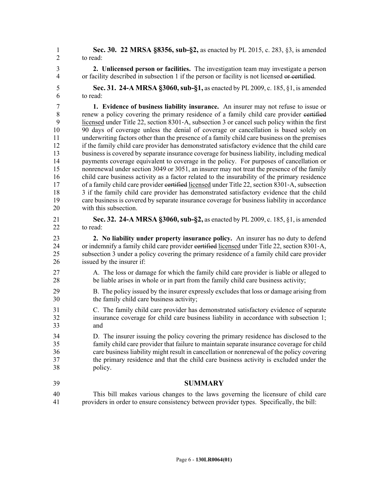1 **Sec. 30. 22 MRSA §8356, sub-§2,** as enacted by PL 2015, c. 283, §3, is amended 2 to read:

3 **2. Unlicensed person or facilities.** The investigation team may investigate a person 4 or facility described in subsection 1 if the person or facility is not licensed or certified.

5 **Sec. 31. 24-A MRSA §3060, sub-§1,** as enacted by PL 2009, c. 185, §1, is amended 6 to read:

7 **1. Evidence of business liability insurance.** An insurer may not refuse to issue or 8 renew a policy covering the primary residence of a family child care provider eertified 9 licensed under Title 22, section 8301‑A, subsection 3 or cancel such policy within the first 10 90 days of coverage unless the denial of coverage or cancellation is based solely on 11 underwriting factors other than the presence of a family child care business on the premises 12 if the family child care provider has demonstrated satisfactory evidence that the child care 13 business is covered by separate insurance coverage for business liability, including medical 14 payments coverage equivalent to coverage in the policy. For purposes of cancellation or 15 nonrenewal under section 3049 or 3051, an insurer may not treat the presence of the family 16 child care business activity as a factor related to the insurability of the primary residence 17 of a family child care provider eertified licensed under Title 22, section 8301–A, subsection 18 3 if the family child care provider has demonstrated satisfactory evidence that the child 19 care business is covered by separate insurance coverage for business liability in accordance 20 with this subsection.

21 **Sec. 32. 24-A MRSA §3060, sub-§2,** as enacted by PL 2009, c. 185, §1, is amended 22 to read:

23 **2. No liability under property insurance policy.** An insurer has no duty to defend 24 or indemnify a family child care provider eertified licensed under Title 22, section 8301-A, 25 subsection 3 under a policy covering the primary residence of a family child care provider 26 issued by the insurer if:

- 27 A. The loss or damage for which the family child care provider is liable or alleged to 28 be liable arises in whole or in part from the family child care business activity;
- 29 B. The policy issued by the insurer expressly excludes that loss or damage arising from 30 the family child care business activity;
- 31 C. The family child care provider has demonstrated satisfactory evidence of separate 32 insurance coverage for child care business liability in accordance with subsection 1; 33 and
- 34 D. The insurer issuing the policy covering the primary residence has disclosed to the 35 family child care provider that failure to maintain separate insurance coverage for child 36 care business liability might result in cancellation or nonrenewal of the policy covering 37 the primary residence and that the child care business activity is excluded under the 38 policy.
- 39 **SUMMARY**
- 40 This bill makes various changes to the laws governing the licensure of child care 41 providers in order to ensure consistency between provider types. Specifically, the bill: